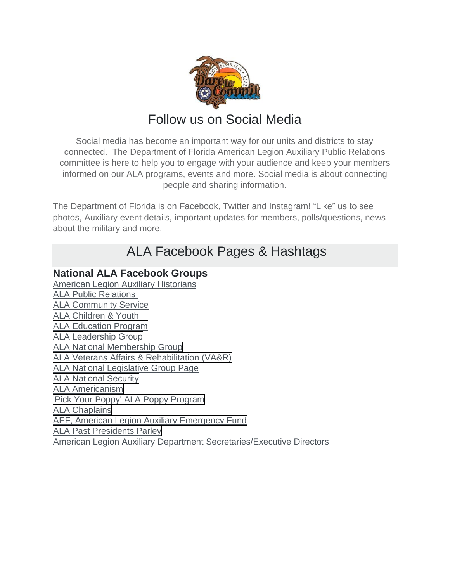

# Follow us on Social Media

Social media has become an important way for our units and districts to stay connected. The Department of Florida American Legion Auxiliary Public Relations committee is here to help you to engage with your audience and keep your members informed on our ALA programs, events and more. Social media is about connecting people and sharing information.

The Department of Florida is on Facebook, Twitter and Instagram! "Like" us to see photos, Auxiliary event details, important updates for members, polls/questions, news about the military and more.

# ALA Facebook Pages & Hashtags

### **National ALA Facebook Groups**

[American Legion Auxiliary Historians](https://www.facebook.com/groups/ALAHistorians/) ALA Public [Relations](https://www.facebook.com/groups/537512876301895/) ALA [Community](https://www.facebook.com/groups/110203022459992/) Service ALA [Children](https://www.facebook.com/groups/ALAChildrenandYouth/) & Youth ALA [Education](https://www.facebook.com/groups/1489034401420831/) Program ALA [Leadership](https://www.facebook.com/groups/568696586854841/) Group ALA National [Membership](https://www.facebook.com/groups/1538378623040619/) Group ALA Veterans Affairs & [Rehabilitation](https://www.facebook.com/groups/ALAVAR/) (VA&R) ALA National [Legislative](https://www.facebook.com/groups/ALALegislative/) Group Page ALA [National](https://www.facebook.com/groups/915563745139663/) Security ALA [Americanism](https://www.facebook.com/groups/818779828161560/) 'Pick Your Poppy' ALA Poppy [Program](https://www.facebook.com/groups/ALAPoppy/) ALA [Chaplains](https://www.facebook.com/groups/ALAChaplains/) AEF, American Legion Auxiliary [Emergency](https://www.facebook.com/groups/AuxEmergencyFund/) Fund ALA Past [Presidents](https://www.facebook.com/groups/571603919606422/) Parley American Legion Auxiliary Department [Secretaries/Executive](https://www.facebook.com/groups/210574512450863/) Directors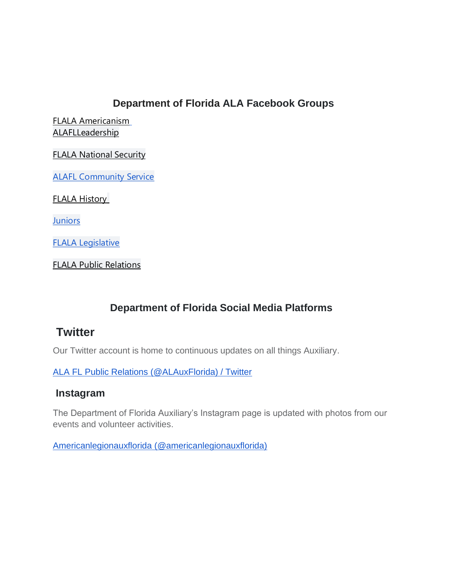### **Department of Florida ALA Facebook Groups**

[FLALA Americanism](https://www.facebook.com/FLALA-Americanism-2019-2020-1532708916941669) [ALAFLLeadership](https://www.facebook.com/groups/2490334907861988)

[FLALA National Security](https://www.facebook.com/groups/888644168305953)

[ALAFL Community Service](https://www.facebook.com/groups/4524739464225709)

[FLALA History](https://www.facebook.com/groups/691466851600634)

**[Juniors](https://www.facebook.com/ALAFLJUNIORS)** 

[FLALA Legislative](https://www.facebook.com/groups/2328570680570619)

[FLALA Public Relations](https://www.facebook.com/groups/1639560249617447)

## **Department of Florida Social Media Platforms**

## **Twitter**

Our Twitter account is home to continuous updates on all things Auxiliary.

[ALA FL Public Relations \(@ALAuxFlorida\) / Twitter](https://twitter.com/ALAuxFlorida)

#### **Instagram**

The Department of Florida Auxiliary's Instagram page is updated with photos from our events and volunteer activities.

[Americanlegionauxflorida \(@americanlegionauxflorida\)](https://www.instagram.com/americanlegionauxflorida/)